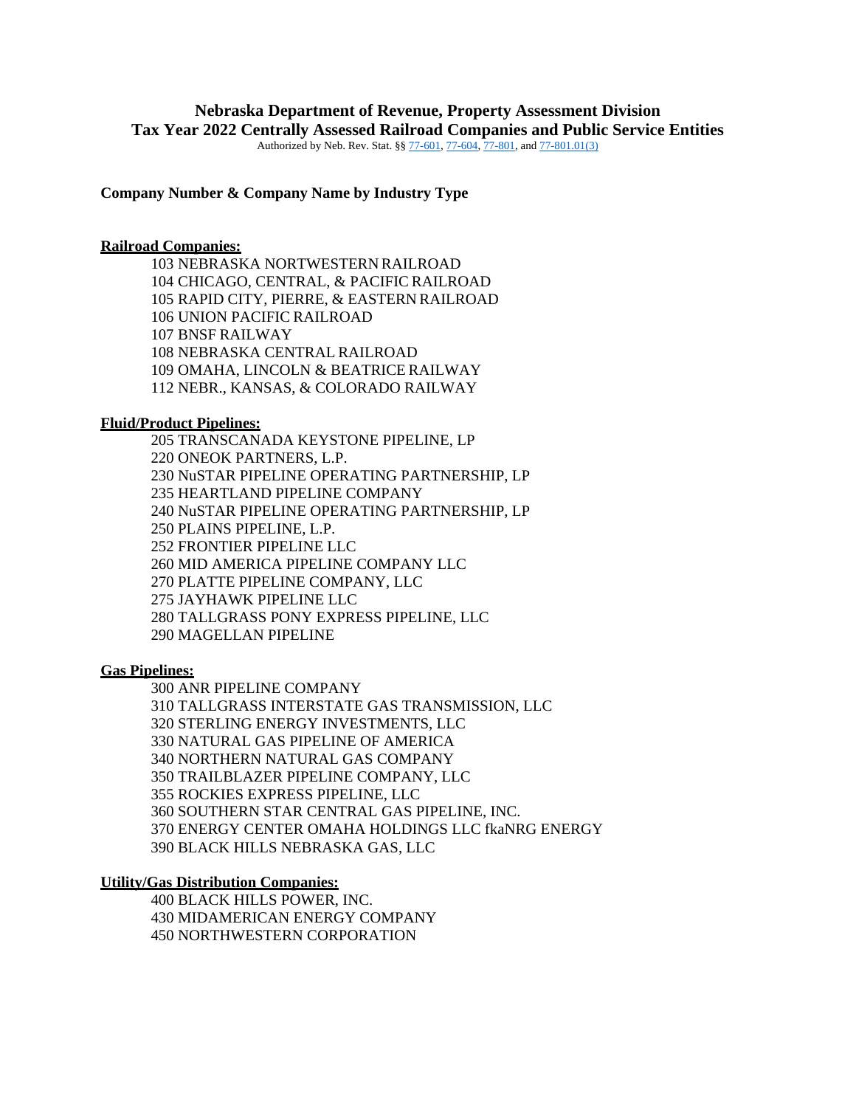# **Nebraska Department of Revenue, Property Assessment Division Tax Year 2022 Centrally Assessed Railroad Companies and Public Service Entities**

Authorized by Neb. Rev. Stat. §[§ 77-601,](https://nebraskalegislature.gov/laws/statutes.php?statute=77-601) [77-604,](https://nebraskalegislature.gov/laws/statutes.php?statute=77-604) [77-801,](https://nebraskalegislature.gov/laws/statutes.php?statute=77-801) an[d 77-801.01\(3\)](https://nebraskalegislature.gov/laws/statutes.php?statute=77-801.01)

**Company Number & Company Name by Industry Type**

## **Railroad Companies:**

 NEBRASKA NORTWESTERN RAILROAD CHICAGO, CENTRAL, & PACIFIC RAILROAD RAPID CITY, PIERRE, & EASTERN RAILROAD UNION PACIFIC RAILROAD BNSF RAILWAY NEBRASKA CENTRAL RAILROAD OMAHA, LINCOLN & BEATRICE RAILWAY 112 NEBR., KANSAS, & COLORADO RAILWAY

# **Fluid/Product Pipelines:**

205 TRANSCANADA KEYSTONE PIPELINE, LP 220 ONEOK PARTNERS, L.P. 230 NuSTAR PIPELINE OPERATING PARTNERSHIP, LP 235 HEARTLAND PIPELINE COMPANY 240 NuSTAR PIPELINE OPERATING PARTNERSHIP, LP 250 PLAINS PIPELINE, L.P. 252 FRONTIER PIPELINE LLC 260 MID AMERICA PIPELINE COMPANY LLC 270 PLATTE PIPELINE COMPANY, LLC 275 JAYHAWK PIPELINE LLC 280 TALLGRASS PONY EXPRESS PIPELINE, LLC 290 MAGELLAN PIPELINE

#### **Gas Pipelines:**

300 ANR PIPELINE COMPANY 310 TALLGRASS INTERSTATE GAS TRANSMISSION, LLC 320 STERLING ENERGY INVESTMENTS, LLC 330 NATURAL GAS PIPELINE OF AMERICA 340 NORTHERN NATURAL GAS COMPANY 350 TRAILBLAZER PIPELINE COMPANY, LLC 355 ROCKIES EXPRESS PIPELINE, LLC 360 SOUTHERN STAR CENTRAL GAS PIPELINE, INC. 370 ENERGY CENTER OMAHA HOLDINGS LLC fkaNRG ENERGY 390 BLACK HILLS NEBRASKA GAS, LLC

#### **Utility/Gas Distribution Companies:**

400 BLACK HILLS POWER, INC. 430 MIDAMERICAN ENERGY COMPANY 450 NORTHWESTERN CORPORATION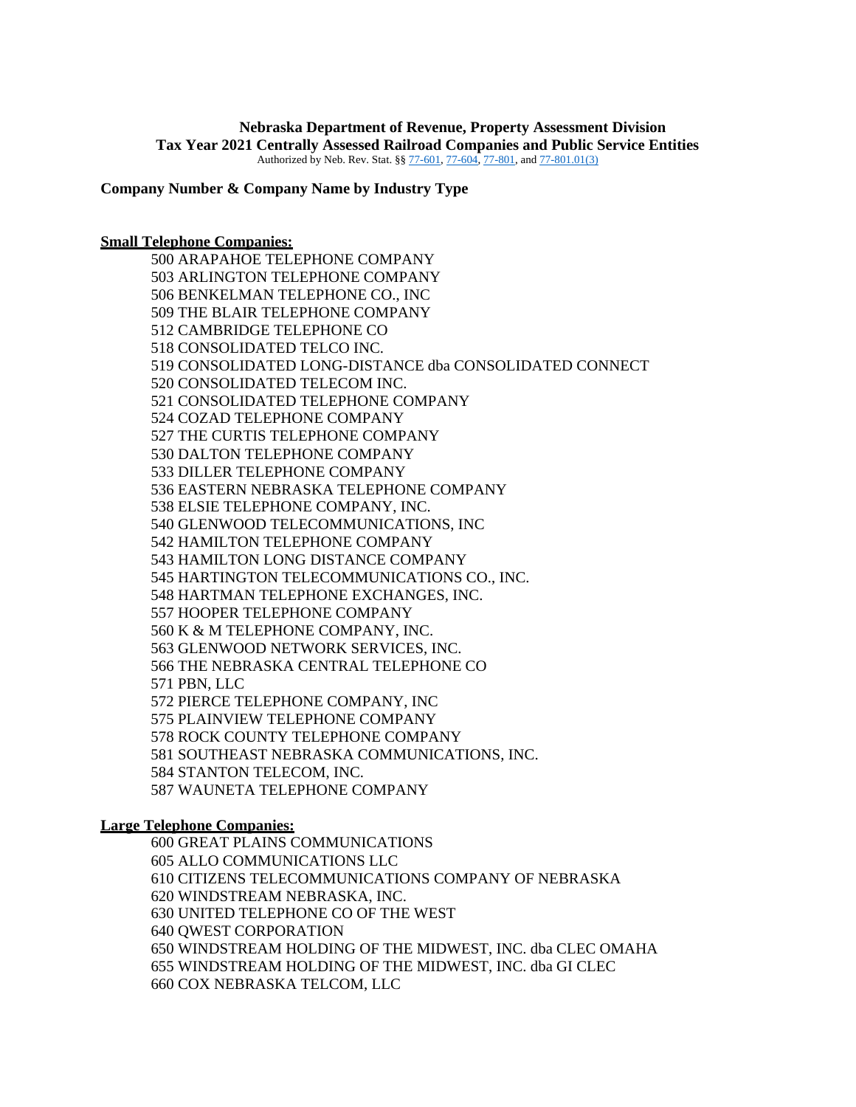#### **Nebraska Department of Revenue, Property Assessment Division Tax Year 2021 Centrally Assessed Railroad Companies and Public Service Entities** Authorized by Neb. Rev. Stat. §[§ 77-601,](https://nebraskalegislature.gov/laws/statutes.php?statute=77-601) [77-604,](https://nebraskalegislature.gov/laws/statutes.php?statute=77-604) [77-801,](https://nebraskalegislature.gov/laws/statutes.php?statute=77-801) an[d 77-801.01\(3\)](https://nebraskalegislature.gov/laws/statutes.php?statute=77-801.01)

**Company Number & Company Name by Industry Type**

#### **Small Telephone Companies:**

500 ARAPAHOE TELEPHONE COMPANY 503 ARLINGTON TELEPHONE COMPANY 506 BENKELMAN TELEPHONE CO., INC 509 THE BLAIR TELEPHONE COMPANY 512 CAMBRIDGE TELEPHONE CO 518 CONSOLIDATED TELCO INC. 519 CONSOLIDATED LONG-DISTANCE dba CONSOLIDATED CONNECT 520 CONSOLIDATED TELECOM INC. 521 CONSOLIDATED TELEPHONE COMPANY 524 COZAD TELEPHONE COMPANY 527 THE CURTIS TELEPHONE COMPANY 530 DALTON TELEPHONE COMPANY 533 DILLER TELEPHONE COMPANY 536 EASTERN NEBRASKA TELEPHONE COMPANY 538 ELSIE TELEPHONE COMPANY, INC. 540 GLENWOOD TELECOMMUNICATIONS, INC 542 HAMILTON TELEPHONE COMPANY 543 HAMILTON LONG DISTANCE COMPANY 545 HARTINGTON TELECOMMUNICATIONS CO., INC. 548 HARTMAN TELEPHONE EXCHANGES, INC. 557 HOOPER TELEPHONE COMPANY 560 K & M TELEPHONE COMPANY, INC. 563 GLENWOOD NETWORK SERVICES, INC. 566 THE NEBRASKA CENTRAL TELEPHONE CO 571 PBN, LLC 572 PIERCE TELEPHONE COMPANY, INC 575 PLAINVIEW TELEPHONE COMPANY 578 ROCK COUNTY TELEPHONE COMPANY 581 SOUTHEAST NEBRASKA COMMUNICATIONS, INC. 584 STANTON TELECOM, INC. 587 WAUNETA TELEPHONE COMPANY

#### **Large Telephone Companies:**

600 GREAT PLAINS COMMUNICATIONS 605 ALLO COMMUNICATIONS LLC 610 CITIZENS TELECOMMUNICATIONS COMPANY OF NEBRASKA 620 WINDSTREAM NEBRASKA, INC. 630 UNITED TELEPHONE CO OF THE WEST 640 QWEST CORPORATION 650 WINDSTREAM HOLDING OF THE MIDWEST, INC. dba CLEC OMAHA 655 WINDSTREAM HOLDING OF THE MIDWEST, INC. dba GI CLEC 660 COX NEBRASKA TELCOM, LLC